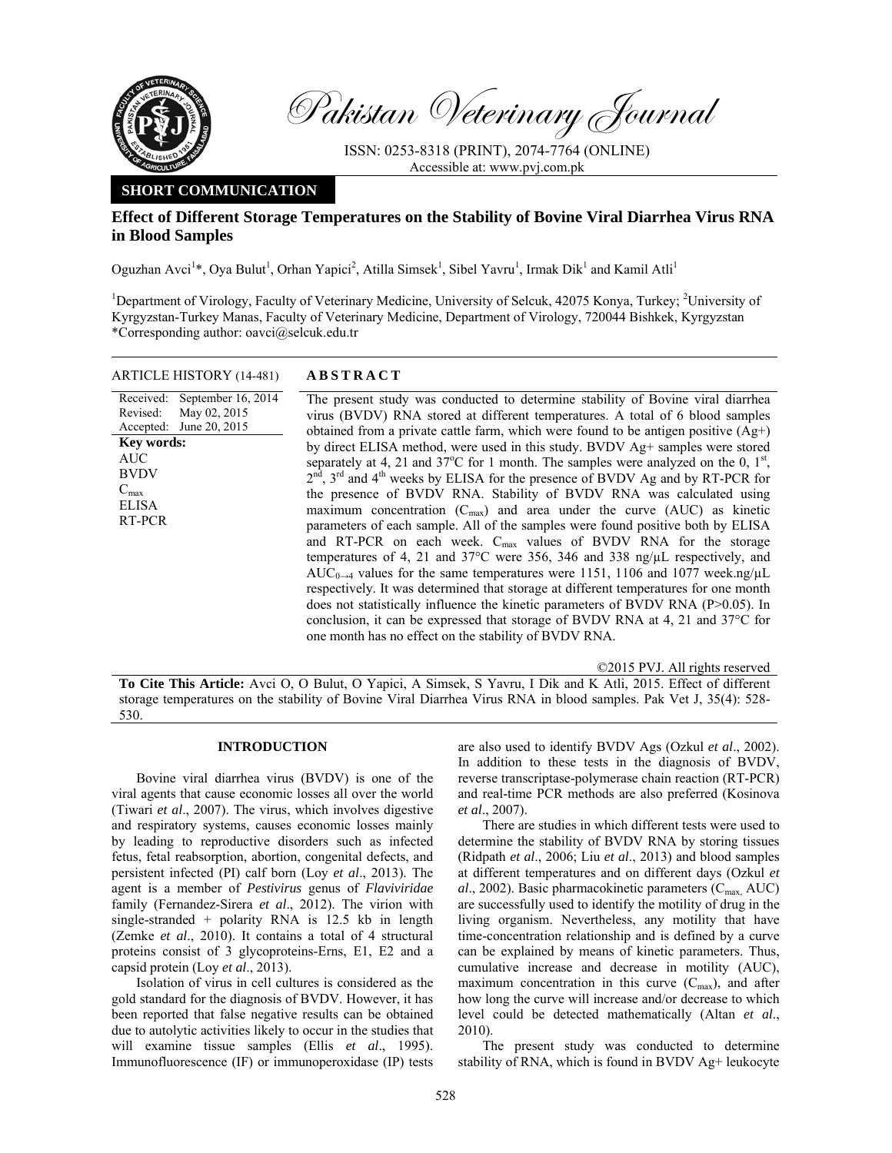

Received: Revised: Accepted:

AUC BVDV  $C_{\text{max}}$ ELISA RT-PCR

Pakistan Veterinary Journal

ISSN: 0253-8318 (PRINT), 2074-7764 (ONLINE) Accessible at: www.pvj.com.pk

# **SHORT COMMUNICATION**

## **Effect of Different Storage Temperatures on the Stability of Bovine Viral Diarrhea Virus RNA in Blood Samples**

Oguzhan Avci<sup>1\*</sup>, Oya Bulut<sup>1</sup>, Orhan Yapici<sup>2</sup>, Atilla Simsek<sup>1</sup>, Sibel Yavru<sup>1</sup>, Irmak Dik<sup>1</sup> and Kamil Atli<sup>1</sup>

<sup>1</sup>Department of Virology, Faculty of Veterinary Medicine, University of Selcuk, 42075 Konya, Turkey; <sup>2</sup>University of Kyrgyzstan-Turkey Manas, Faculty of Veterinary Medicine, Department of Virology, 720044 Bishkek, Kyrgyzstan \*Corresponding author: oavci@selcuk.edu.tr

| ARTICLE HISTORY (14-481) | <b>ABSTRACT</b> |
|--------------------------|-----------------|
|                          |                 |

September 16, 2014 May 02, 2015 June 20, 2015 The present study was conducted to determine stability of Bovine viral diarrhea virus (BVDV) RNA stored at different temperatures. A total of 6 blood samples obtained from a private cattle farm, which were found to be antigen positive (Ag+) by direct ELISA method, were used in this study. BVDV Ag+ samples were stored separately at 4, 21 and  $37^{\circ}$ C for 1 month. The samples were analyzed on the 0,  $1^{\text{st}}$ ,  $2<sup>nd</sup>$ ,  $3<sup>rd</sup>$  and  $4<sup>th</sup>$  weeks by ELISA for the presence of BVDV Ag and by RT-PCR for the presence of BVDV RNA. Stability of BVDV RNA was calculated using maximum concentration  $(C_{\text{max}})$  and area under the curve (AUC) as kinetic parameters of each sample. All of the samples were found positive both by ELISA and RT-PCR on each week. C<sub>max</sub> values of BVDV RNA for the storage temperatures of 4, 21 and 37°C were 356, 346 and 338 ng/µL respectively, and AUC<sub>0→4</sub> values for the same temperatures were 1151, 1106 and 1077 week.ng/ $\mu$ L respectively. It was determined that storage at different temperatures for one month does not statistically influence the kinetic parameters of BVDV RNA (P>0.05). In conclusion, it can be expressed that storage of BVDV RNA at 4, 21 and 37°C for one month has no effect on the stability of BVDV RNA. **Key words:** 

©2015 PVJ. All rights reserved

**To Cite This Article:** Avci O, O Bulut, O Yapici, A Simsek, S Yavru, I Dik and K Atli, 2015. Effect of different storage temperatures on the stability of Bovine Viral Diarrhea Virus RNA in blood samples. Pak Vet J, 35(4): 528- 530.

### **INTRODUCTION**

Bovine viral diarrhea virus (BVDV) is one of the viral agents that cause economic losses all over the world (Tiwari *et al*., 2007). The virus, which involves digestive and respiratory systems, causes economic losses mainly by leading to reproductive disorders such as infected fetus, fetal reabsorption, abortion, congenital defects, and persistent infected (PI) calf born (Loy *et al*., 2013). The agent is a member of *Pestivirus* genus of *Flaviviridae*  family (Fernandez-Sirera *et al*., 2012). The virion with single-stranded + polarity RNA is 12.5 kb in length (Zemke *et al*., 2010). It contains a total of 4 structural proteins consist of 3 glycoproteins-Erns, E1, E2 and a capsid protein (Loy *et al*., 2013).

Isolation of virus in cell cultures is considered as the gold standard for the diagnosis of BVDV. However, it has been reported that false negative results can be obtained due to autolytic activities likely to occur in the studies that will examine tissue samples (Ellis *et al*., 1995). Immunofluorescence (IF) or immunoperoxidase (IP) tests

are also used to identify BVDV Ags (Ozkul *et al*., 2002). In addition to these tests in the diagnosis of BVDV, reverse transcriptase-polymerase chain reaction (RT-PCR) and real-time PCR methods are also preferred (Kosinova *et al*., 2007).

There are studies in which different tests were used to determine the stability of BVDV RNA by storing tissues (Ridpath *et al*., 2006; Liu *et al*., 2013) and blood samples at different temperatures and on different days (Ozkul *et al.*, 2002). Basic pharmacokinetic parameters (C<sub>max,</sub> AUC) are successfully used to identify the motility of drug in the living organism. Nevertheless, any motility that have time-concentration relationship and is defined by a curve can be explained by means of kinetic parameters. Thus, cumulative increase and decrease in motility (AUC), maximum concentration in this curve  $(C_{\text{max}})$ , and after how long the curve will increase and/or decrease to which level could be detected mathematically (Altan *et al*., 2010).

The present study was conducted to determine stability of RNA, which is found in BVDV Ag+ leukocyte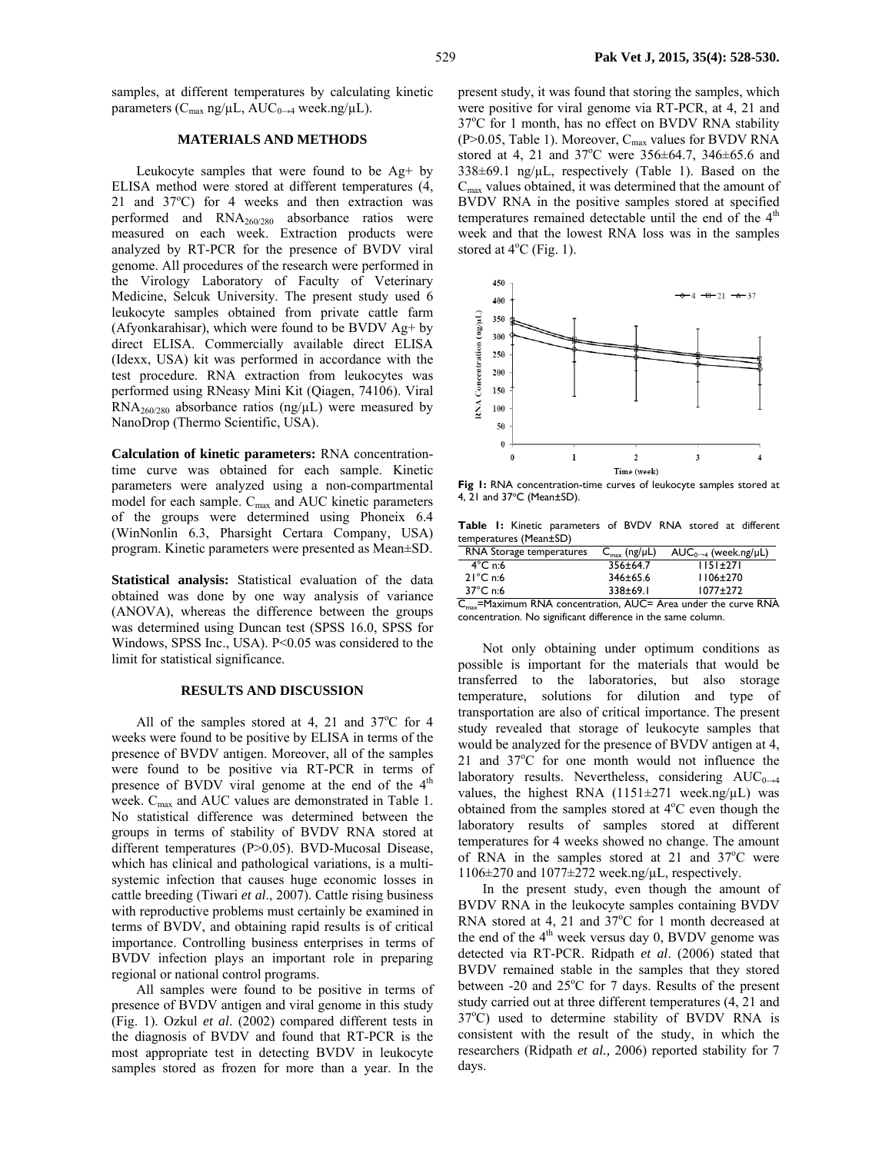samples, at different temperatures by calculating kinetic parameters ( $C_{\text{max}}$  ng/ $\mu$ L, AU $C_{0\rightarrow4}$  week.ng/ $\mu$ L).

## **MATERIALS AND METHODS**

Leukocyte samples that were found to be Ag+ by ELISA method were stored at different temperatures (4, 21 and 37°C) for 4 weeks and then extraction was performed and RNA260/280 absorbance ratios were measured on each week. Extraction products were analyzed by RT-PCR for the presence of BVDV viral genome. All procedures of the research were performed in the Virology Laboratory of Faculty of Veterinary Medicine, Selcuk University. The present study used 6 leukocyte samples obtained from private cattle farm (Afyonkarahisar), which were found to be BVDV Ag+ by direct ELISA. Commercially available direct ELISA (Idexx, USA) kit was performed in accordance with the test procedure. RNA extraction from leukocytes was performed using RNeasy Mini Kit (Qiagen, 74106). Viral  $RNA<sub>260/280</sub>$  absorbance ratios (ng/ $\mu$ L) were measured by NanoDrop (Thermo Scientific, USA).

**Calculation of kinetic parameters:** RNA concentrationtime curve was obtained for each sample. Kinetic parameters were analyzed using a non-compartmental model for each sample.  $C_{\text{max}}$  and AUC kinetic parameters of the groups were determined using Phoneix 6.4 (WinNonlin 6.3, Pharsight Certara Company, USA) program. Kinetic parameters were presented as Mean±SD.

**Statistical analysis:** Statistical evaluation of the data obtained was done by one way analysis of variance (ANOVA), whereas the difference between the groups was determined using Duncan test (SPSS 16.0, SPSS for Windows, SPSS Inc., USA). P<0.05 was considered to the limit for statistical significance.

### **RESULTS AND DISCUSSION**

All of the samples stored at 4, 21 and  $37^{\circ}$ C for 4 weeks were found to be positive by ELISA in terms of the presence of BVDV antigen. Moreover, all of the samples were found to be positive via RT-PCR in terms of presence of BVDV viral genome at the end of the  $4<sup>th</sup>$ week. C<sub>max</sub> and AUC values are demonstrated in Table 1. No statistical difference was determined between the groups in terms of stability of BVDV RNA stored at different temperatures (P>0.05). BVD-Mucosal Disease, which has clinical and pathological variations, is a multisystemic infection that causes huge economic losses in cattle breeding (Tiwari *et al*., 2007). Cattle rising business with reproductive problems must certainly be examined in terms of BVDV, and obtaining rapid results is of critical importance. Controlling business enterprises in terms of BVDV infection plays an important role in preparing regional or national control programs.

All samples were found to be positive in terms of presence of BVDV antigen and viral genome in this study (Fig. 1). Ozkul *et al*. (2002) compared different tests in the diagnosis of BVDV and found that RT-PCR is the most appropriate test in detecting BVDV in leukocyte samples stored as frozen for more than a year. In the

present study, it was found that storing the samples, which were positive for viral genome via RT-PCR, at 4, 21 and 37°C for 1 month, has no effect on BVDV RNA stability (P>0.05, Table 1). Moreover,  $C_{max}$  values for BVDV RNA stored at 4, 21 and  $37^{\circ}$ C were  $356\pm64.7$ ,  $346\pm65.6$  and  $338\pm69.1$  ng/ $\mu$ L, respectively (Table 1). Based on the  $C_{\text{max}}$  values obtained, it was determined that the amount of BVDV RNA in the positive samples stored at specified temperatures remained detectable until the end of the  $4<sup>th</sup>$ week and that the lowest RNA loss was in the samples stored at  $4^{\circ}$ C (Fig. 1).



**Fig 1:** RNA concentration-time curves of leukocyte samples stored at  $4, 21$  and  $37^{\circ}$ C (Mean $\pm$ SD).

**Table 1:** Kinetic parameters of BVDV RNA stored at different temperatures (Mean±SD)

| RNA Storage temperatures | $C_{\text{max}}$ (ng/µL) | $AUC_{0\rightarrow 4}$ (week.ng/µL) |
|--------------------------|--------------------------|-------------------------------------|
| $4^{\circ}$ C n:6        | $356 \pm 64.7$           | $1151+271$                          |
| $21^{\circ}$ C n:6       | $346 \pm 65.6$           | $1106 \pm 270$                      |
| $37^{\circ}$ C n:6       | $338 + 69.1$             | $1077 + 272$                        |

 $C_{\text{max}}$ =Maximum RNA concentration, AUC= Area under the curve RNA concentration. No significant difference in the same column.

Not only obtaining under optimum conditions as possible is important for the materials that would be transferred to the laboratories, but also storage temperature, solutions for dilution and type of transportation are also of critical importance. The present study revealed that storage of leukocyte samples that would be analyzed for the presence of BVDV antigen at 4, 21 and 37°C for one month would not influence the laboratory results. Nevertheless, considering  $AUC_{0\rightarrow 4}$ values, the highest RNA  $(1151 \pm 271$  week.ng/ $\mu$ L) was obtained from the samples stored at 4°C even though the laboratory results of samples stored at different temperatures for 4 weeks showed no change. The amount of RNA in the samples stored at 21 and  $37^{\circ}$ C were 1106±270 and 1077±272 week.ng/µL, respectively.

In the present study, even though the amount of BVDV RNA in the leukocyte samples containing BVDV RNA stored at 4, 21 and  $37^{\circ}$ C for 1 month decreased at the end of the  $4<sup>th</sup>$  week versus day 0, BVDV genome was detected via RT-PCR. Ridpath *et al*. (2006) stated that BVDV remained stable in the samples that they stored between  $-20$  and  $25^{\circ}$ C for 7 days. Results of the present study carried out at three different temperatures (4, 21 and 37°C) used to determine stability of BVDV RNA is consistent with the result of the study, in which the researchers (Ridpath *et al.,* 2006) reported stability for 7 days.